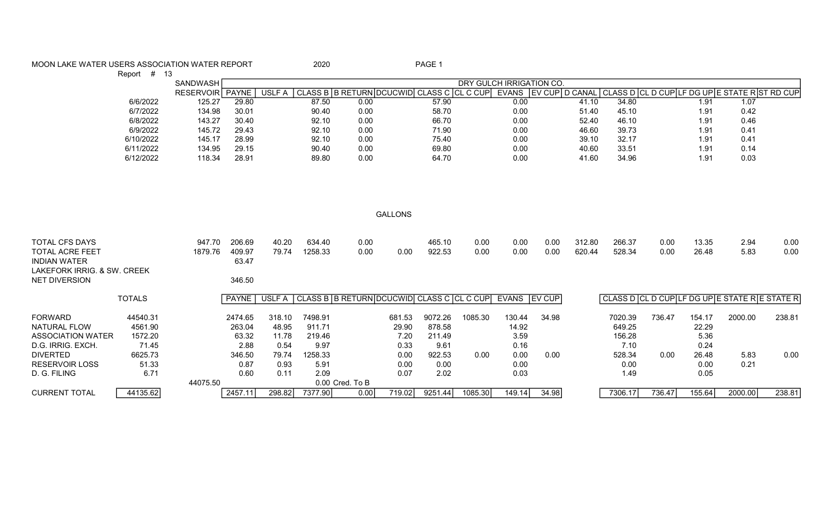## MOON LAKE WATER USERS ASSOCIATION WATER REPORT 2020 2020

Report # 13

|           | <b>SANDWASH</b>   |              |        |                             |       | DRY GULCH IRRIGATION CO.           |            |       |       |                                                            |
|-----------|-------------------|--------------|--------|-----------------------------|-------|------------------------------------|------------|-------|-------|------------------------------------------------------------|
|           | <b>RESERVOIRI</b> | <b>PAYNE</b> | USLF A | CLASS B I B RETURN IDCUCWID |       | CLASS C ICL C CUPI<br><b>EVANS</b> |            |       |       | EV CUP D CANAL CLASS D CL D CUPLF DG UP E STATE RST RD CUP |
| 6/6/2022  | 125.27            | 29.80        | 87.50  | 0.00                        | 57.90 | 0.00                               | .10<br>41. | 34.80 | .91   | i.07                                                       |
| 6/7/2022  | 134.98            | 30.01        | 90.40  | 0.00                        | 58.70 | 0.00                               | 51.40      | 45.10 | 91. ا | 0.42                                                       |
| 6/8/2022  | 143.27            | 30.40        | 92.10  | 0.00                        | 66.70 | 0.00                               | 52.40      | 46.10 | 1.91  | 0.46                                                       |
| 6/9/2022  | 145.72            | 29.43        | 92.10  | 0.00                        | 71.90 | 0.00                               | 46.60      | 39.73 | 1.91  | 0.41                                                       |
| 6/10/2022 | 145.17            | 28.99        | 92.10  | 0.00                        | 75.40 | 0.00                               | 39.10      | 32.17 | 91. ا | 0.41                                                       |
| 6/11/2022 | 134.95            | 29.15        | 90.40  | 0.00                        | 69.80 | 0.00                               | 40.60      | 33.51 | 91. ا | 0.14                                                       |
| 6/12/2022 | 18.34             | 28.91        | 89.80  | 0.00                        | 64.70 | 0.00                               | 41.60      | 34.96 | 91. ا | 0.03                                                       |

GALLONS

| <b>TOTAL CFS DAYS</b><br>TOTAL ACRE FEET<br><b>INDIAN WATER</b><br>LAKEFORK IRRIG. & SW. CREEK<br><b>NET DIVERSION</b> |               | 947.70<br>1879.76 | 206.69<br>409.97<br>63.47<br>346.50 | 40.20<br>79.74 | 634.40<br>1258.33 | 0.00<br>0.00                                     | 0.00   | 465.10<br>922.53 | 0.00<br>0.00 | 0.00<br>0.00    | 0.00<br>0.00 | 312.80<br>620.44 | 266.37<br>528.34 | 0.00<br>0.00 | 13.35<br>26.48 | 2.94<br>5.83                                | 0.00<br>0.00 |
|------------------------------------------------------------------------------------------------------------------------|---------------|-------------------|-------------------------------------|----------------|-------------------|--------------------------------------------------|--------|------------------|--------------|-----------------|--------------|------------------|------------------|--------------|----------------|---------------------------------------------|--------------|
|                                                                                                                        | <b>TOTALS</b> |                   | <b>PAYNE</b>                        |                |                   | USLF A CLASS B B RETURN DCUCWID CLASS C CL C CUP |        |                  |              | EVANS I EV CUPI |              |                  |                  |              |                | CLASS D CL D CUPLF DG UPLE STATE RE STATE R |              |
| <b>FORWARD</b>                                                                                                         | 44540.31      |                   | 2474.65                             | 318.10         | 7498.91           |                                                  | 681.53 | 9072.26          | 1085.30      | 130.44          | 34.98        |                  | 7020.39          | 736.47       | 154.17         | 2000.00                                     | 238.81       |
| NATURAL FLOW                                                                                                           | 4561.90       |                   | 263.04                              | 48.95          | 911.71            |                                                  | 29.90  | 878.58           |              | 14.92           |              |                  | 649.25           |              | 22.29          |                                             |              |
| ASSOCIATION WATER                                                                                                      | 1572.20       |                   | 63.32                               | 11.78          | 219.46            |                                                  | 7.20   | 211.49           |              | 3.59            |              |                  | 156.28           |              | 5.36           |                                             |              |
| D.G. IRRIG. EXCH.                                                                                                      | 71.45         |                   | 2.88                                | 0.54           | 9.97              |                                                  | 0.33   | 9.61             |              | 0.16            |              |                  | 7.10             |              | 0.24           |                                             |              |
| <b>DIVERTED</b>                                                                                                        | 6625.73       |                   | 346.50                              | 79.74          | 1258.33           |                                                  | 0.00   | 922.53           | 0.00         | 0.00            | 0.00         |                  | 528.34           | 0.00         | 26.48          | 5.83                                        | 0.00         |
| <b>RESERVOIR LOSS</b>                                                                                                  | 51.33         |                   | 0.87                                | 0.93           | 5.91              |                                                  | 0.00   | 0.00             |              | 0.00            |              |                  | 0.00             |              | 0.00           | 0.21                                        |              |
| D. G. FILING                                                                                                           | 6.71          |                   | 0.60                                | 0.11           | 2.09              |                                                  | 0.07   | 2.02             |              | 0.03            |              |                  | 1.49             |              | 0.05           |                                             |              |
|                                                                                                                        |               | 44075.50          |                                     |                |                   | $0.00$ Cred. To B                                |        |                  |              |                 |              |                  |                  |              |                |                                             |              |
| <b>CURRENT TOTAL</b>                                                                                                   | 44135.62      |                   | 2457.11                             | 298.82         | 7377.90           | 0.00                                             | 719.02 | 9251.44          | 1085.30      | 149.14          | 34.98        |                  | 7306.17          | 736.47       | 155.64         | 2000.00                                     | 238.81       |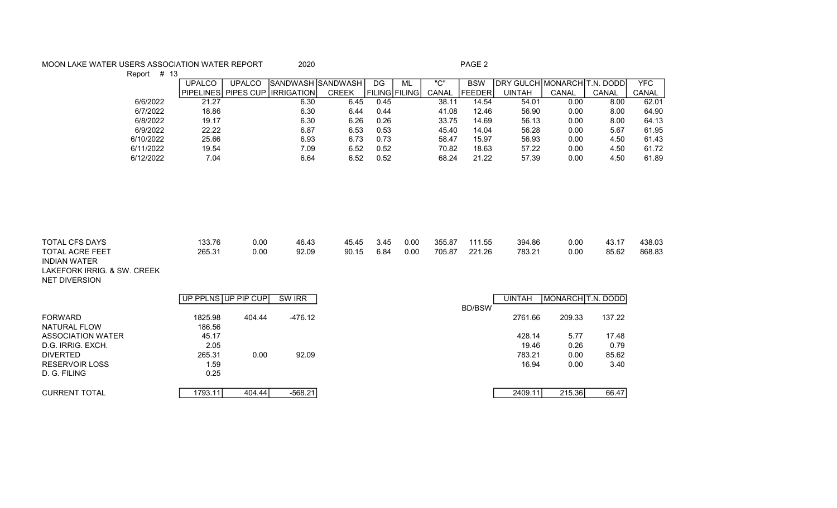## MOON LAKE WATER USERS ASSOCIATION WATER REPORT 2020 2020

Report # 13

|           | <b>UPALCO</b>    | <b>UPALCO</b> | <b>ISANDWASH ISANDWASH</b> |              | DG            | ML | "C"   | <b>BSW</b>    | IDRY GULCHIMONARCHIT.N. DODD |       |       | <b>YFC</b> |
|-----------|------------------|---------------|----------------------------|--------------|---------------|----|-------|---------------|------------------------------|-------|-------|------------|
|           | <b>PIPELINES</b> | ' PIPES CUP I | <b>IRRIGATION</b>          | <b>CREEK</b> | FILING FILING |    | CANAL | <b>FEEDER</b> | UINTAH                       | CANAL | CANAL | CANAL      |
| 6/6/2022  | 21.27            |               | 6.30                       | 6.45         | 0.45          |    | 38.11 | 14.54         | 54.01                        | 0.00  | 8.00  | 62.01      |
| 6/7/2022  | 18.86            |               | 6.30                       | 6.44         | 0.44          |    | 41.08 | 12.46         | 56.90                        | 0.00  | 8.00  | 64.90      |
| 6/8/2022  | 19.17            |               | 6.30                       | 6.26         | 0.26          |    | 33.75 | 14.69         | 56.13                        | 0.00  | 8.00  | 64.13      |
| 6/9/2022  | 22.22            |               | 6.87                       | 6.53         | 0.53          |    | 45.40 | 14.04         | 56.28                        | 0.00  | 5.67  | 61.95      |
| 6/10/2022 | 25.66            |               | 6.93                       | 6.73         | 0.73          |    | 58.47 | 15.97         | 56.93                        | 0.00  | 4.50  | 61.43      |
| 6/11/2022 | 19.54            |               | 7.09                       | 6.52         | 0.52          |    | 70.82 | 18.63         | 57.22                        | 0.00  | 4.50  | 61.72      |
| 6/12/2022 | 7.04             |               | 6.64                       | 6.52         | 0.52          |    | 68.24 | 21.22         | 57.39                        | 0.00  | 4.50  | 61.89      |
|           |                  |               |                            |              |               |    |       |               |                              |       |       |            |

| TOTAL CFS DAYS      | 133.76 | 0.00 | 46.43 | 45.45 | 3.45 | 0.00 | 355.87 | 111.55 | 394.86 | 0.00 | 43.17 | 438.03 |
|---------------------|--------|------|-------|-------|------|------|--------|--------|--------|------|-------|--------|
| TOTAL ACRE FEET     | 265.31 | 0.00 | 92.09 | 90.15 | 6.84 | 0.00 | 705.87 | 221.26 | 783.21 | 0.00 | 85.62 | 868.83 |
| <b>INDIAN WATER</b> |        |      |       |       |      |      |        |        |        |      |       |        |

LAKEFORK IRRIG. & SW. CREEK NET DIVERSION

|                          | UP PPLNS UP PIP CUP |        | SW IRR    |               | <b>UINTAH</b> | MONARCH T.N. DODD |        |
|--------------------------|---------------------|--------|-----------|---------------|---------------|-------------------|--------|
| <b>FORWARD</b>           | 1825.98             | 404.44 | -476.12   | <b>BD/BSW</b> | 2761.66       | 209.33            | 137.22 |
| NATURAL FLOW             | 186.56              |        |           |               |               |                   |        |
| <b>ASSOCIATION WATER</b> | 45.17               |        |           |               | 428.14        | 5.77              | 17.48  |
| D.G. IRRIG. EXCH.        | 2.05                |        |           |               | 19.46         | 0.26              | 0.79   |
| <b>DIVERTED</b>          | 265.31              | 0.00   | 92.09     |               | 783.21        | 0.00              | 85.62  |
| RESERVOIR LOSS           | 1.59                |        |           |               | 16.94         | 0.00              | 3.40   |
| D. G. FILING             | 0.25                |        |           |               |               |                   |        |
|                          |                     |        |           |               |               |                   |        |
| <b>CURRENT TOTAL</b>     | 1793.11             | 404.44 | $-568.21$ |               | 2409.11       | 215.36            | 66.47  |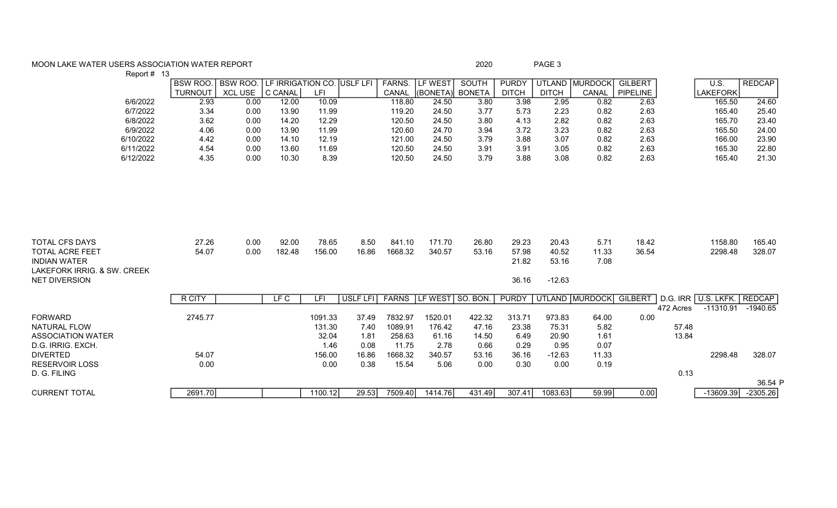## MOON LAKE WATER USERS ASSOCIATION WATER REPORT **Example 2018** 2020 2020 PAGE 3 Report # 13

|                                                                                                                               | $1.9$ $\mu$ $\sigma$ $1.7$ $\sigma$ $1.9$ |                |                            |                 |                 |                   |                    |                |                                  |                                     |                       |                |           |                     |                      |
|-------------------------------------------------------------------------------------------------------------------------------|-------------------------------------------|----------------|----------------------------|-----------------|-----------------|-------------------|--------------------|----------------|----------------------------------|-------------------------------------|-----------------------|----------------|-----------|---------------------|----------------------|
|                                                                                                                               | <b>BSW ROO</b>                            | BSW ROO.       | LF IRRIGATION CO. USLF LFI |                 |                 | <b>FARNS.</b>     | LF WEST            | SOUTH          | <b>PURDY</b>                     | <b>UTLAND</b>                       | MURDOCK               | <b>GILBERT</b> |           | $\overline{U.S.}$   | <b>REDCAP</b>        |
|                                                                                                                               | <b>TURNOUT</b>                            | <b>XCL USE</b> | C CANAL                    | LFI             |                 | CANAL             | (BONETA)           | <b>BONETA</b>  | <b>DITCH</b>                     | <b>DITCH</b>                        | CANAL                 | PIPELINE       |           | <b>LAKEFORK</b>     |                      |
| 6/6/2022                                                                                                                      | 2.93                                      | 0.00           | 12.00                      | 10.09           |                 | 118.80            | 24.50              | 3.80           | 3.98                             | 2.95                                | 0.82                  | 2.63           |           | 165.50              | 24.60                |
| 6/7/2022                                                                                                                      | 3.34                                      | 0.00           | 13.90                      | 11.99           |                 | 119.20            | 24.50              | 3.77           | 5.73                             | 2.23                                | 0.82                  | 2.63           |           | 165.40              | 25.40                |
| 6/8/2022                                                                                                                      | 3.62                                      | 0.00           | 14.20                      | 12.29           |                 | 120.50            | 24.50              | 3.80           | 4.13                             | 2.82                                | 0.82                  | 2.63           |           | 165.70              | 23.40                |
| 6/9/2022                                                                                                                      | 4.06                                      | 0.00           | 13.90                      | 11.99           |                 | 120.60            | 24.70              | 3.94           | 3.72                             | 3.23                                | 0.82                  | 2.63           |           | 165.50              | 24.00                |
| 6/10/2022                                                                                                                     | 4.42                                      | 0.00           | 14.10                      | 12.19           |                 | 121.00            | 24.50              | 3.79           | 3.88                             | 3.07                                | 0.82                  | 2.63           |           | 166.00              | 23.90                |
| 6/11/2022                                                                                                                     | 4.54                                      | 0.00           | 13.60                      | 11.69           |                 | 120.50            | 24.50              | 3.91           | 3.91                             | 3.05                                | 0.82                  | 2.63           |           | 165.30              | 22.80                |
| 6/12/2022                                                                                                                     | 4.35                                      | 0.00           | 10.30                      | 8.39            |                 | 120.50            | 24.50              | 3.79           | 3.88                             | 3.08                                | 0.82                  | 2.63           |           | 165.40              | 21.30                |
| <b>TOTAL CFS DAYS</b><br><b>TOTAL ACRE FEET</b><br><b>INDIAN WATER</b><br>LAKEFORK IRRIG, & SW. CREEK<br><b>NET DIVERSION</b> | 27.26<br>54.07                            | 0.00<br>0.00   | 92.00<br>182.48            | 78.65<br>156.00 | 8.50<br>16.86   | 841.10<br>1668.32 | 171.70<br>340.57   | 26.80<br>53.16 | 29.23<br>57.98<br>21.82<br>36.16 | 20.43<br>40.52<br>53.16<br>$-12.63$ | 5.71<br>11.33<br>7.08 | 18.42<br>36.54 |           | 1158.80<br>2298.48  | 165.40<br>328.07     |
|                                                                                                                               |                                           |                | LF C                       |                 | <b>USLF LFI</b> | <b>FARNS</b>      | LF WEST   SO. BON. |                | <b>PURDY</b>                     |                                     | UTLAND MURDOCK        | <b>GILBERT</b> |           | D.G. IRR U.S. LKFK. |                      |
|                                                                                                                               | R CITY                                    |                |                            | LFI             |                 |                   |                    |                |                                  |                                     |                       |                | 472 Acres | $-11310.91$         | REDCAP<br>$-1940.65$ |
| <b>FORWARD</b>                                                                                                                | 2745.77                                   |                |                            | 1091.33         | 37.49           | 7832.97           | 1520.01            | 422.32         | 313.71                           | 973.83                              | 64.00                 | 0.00           |           |                     |                      |
| <b>NATURAL FLOW</b>                                                                                                           |                                           |                |                            | 131.30          | 7.40            | 1089.91           | 176.42             | 47.16          | 23.38                            | 75.31                               | 5.82                  |                | 57.48     |                     |                      |
| <b>ASSOCIATION WATER</b>                                                                                                      |                                           |                |                            | 32.04           | 1.81            | 258.63            | 61.16              | 14.50          | 6.49                             | 20.90                               | 1.61                  |                | 13.84     |                     |                      |
| D.G. IRRIG. EXCH.                                                                                                             |                                           |                |                            | 1.46            | 0.08            | 11.75             | 2.78               | 0.66           | 0.29                             | 0.95                                | 0.07                  |                |           |                     |                      |
| <b>DIVERTED</b>                                                                                                               | 54.07                                     |                |                            | 156.00          | 16.86           | 1668.32           | 340.57             | 53.16          | 36.16                            | $-12.63$                            | 11.33                 |                |           | 2298.48             | 328.07               |
| <b>RESERVOIR LOSS</b>                                                                                                         | 0.00                                      |                |                            | 0.00            | 0.38            | 15.54             | 5.06               | 0.00           | 0.30                             | 0.00                                | 0.19                  |                |           |                     |                      |
| D. G. FILING                                                                                                                  |                                           |                |                            |                 |                 |                   |                    |                |                                  |                                     |                       |                | 0.13      |                     |                      |
|                                                                                                                               |                                           |                |                            |                 |                 |                   |                    |                |                                  |                                     |                       |                |           |                     | 36.54 P              |
| <b>CURRENT TOTAL</b>                                                                                                          | 2691.70                                   |                |                            | 1100.12         | 29.53           | 7509.40           | 1414.76            | 431.49         | 307.41                           | 1083.63                             | 59.99                 | 0.00           |           | $-13609.39$         | $-2305.26$           |